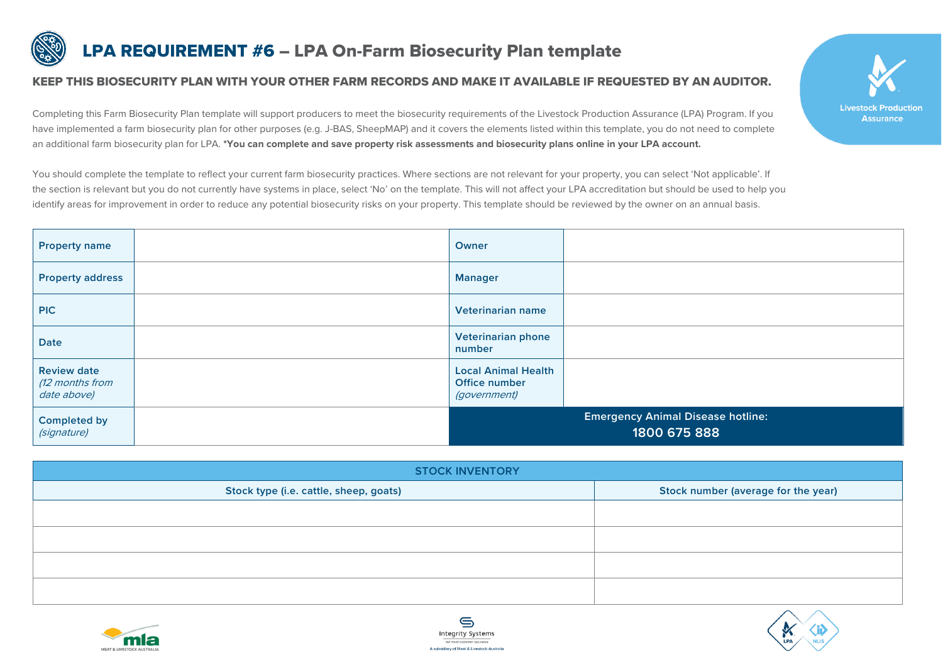## LPA REQUIREMENT #6 – LPA On-Farm Biosecurity Plan template

## KEEP THIS BIOSECURITY PLAN WITH YOUR OTHER FARM RECORDS AND MAKE IT AVAILABLE IF REQUESTED BY AN AUDITOR.

Completing this Farm Biosecurity Plan template will support producers to meet the biosecurity requirements of the Livestock Production Assurance (LPA) Program. If you have implemented a farm biosecurity plan for other purposes (e.g. J-BAS, SheepMAP) and it covers the elements listed within this template, you do not need to complete an additional farm biosecurity plan for LPA. **\*You can complete and save property risk assessments and biosecurity plans online in your LPA account.**

You should complete the template to reflect your current farm biosecurity practices. Where sections are not relevant for your property, you can select 'Not applicable'. If the section is relevant but you do not currently have systems in place, select 'No' on the template. This will not affect your LPA accreditation but should be used to help you identify areas for improvement in order to reduce any potential biosecurity risks on your property. This template should be reviewed by the owner on an annual basis.

| <b>Property name</b>                                 | Owner                                                              |                                                          |
|------------------------------------------------------|--------------------------------------------------------------------|----------------------------------------------------------|
| <b>Property address</b>                              | <b>Manager</b>                                                     |                                                          |
| <b>PIC</b>                                           | Veterinarian name                                                  |                                                          |
| <b>Date</b>                                          | <b>Veterinarian phone</b><br>number                                |                                                          |
| <b>Review date</b><br>(12 months from<br>date above) | <b>Local Animal Health</b><br>Office number<br><i>(government)</i> |                                                          |
| <b>Completed by</b><br>(signature)                   |                                                                    | <b>Emergency Animal Disease hotline:</b><br>1800 675 888 |

| <b>STOCK INVENTORY</b>                 |                                     |  |  |  |  |  |  |  |
|----------------------------------------|-------------------------------------|--|--|--|--|--|--|--|
| Stock type (i.e. cattle, sheep, goats) | Stock number (average for the year) |  |  |  |  |  |  |  |
|                                        |                                     |  |  |  |  |  |  |  |
|                                        |                                     |  |  |  |  |  |  |  |
|                                        |                                     |  |  |  |  |  |  |  |
|                                        |                                     |  |  |  |  |  |  |  |







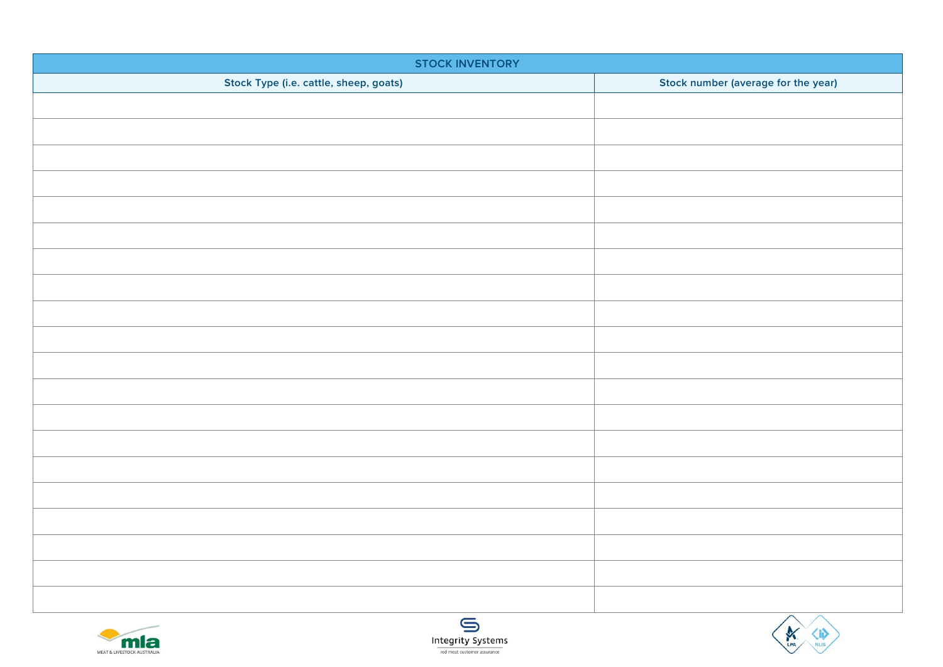| <b>STOCK INVENTORY</b>                 |                                     |  |  |  |  |  |
|----------------------------------------|-------------------------------------|--|--|--|--|--|
| Stock Type (i.e. cattle, sheep, goats) | Stock number (average for the year) |  |  |  |  |  |
|                                        |                                     |  |  |  |  |  |
|                                        |                                     |  |  |  |  |  |
|                                        |                                     |  |  |  |  |  |
|                                        |                                     |  |  |  |  |  |
|                                        |                                     |  |  |  |  |  |
|                                        |                                     |  |  |  |  |  |
|                                        |                                     |  |  |  |  |  |
|                                        |                                     |  |  |  |  |  |
|                                        |                                     |  |  |  |  |  |
|                                        |                                     |  |  |  |  |  |
|                                        |                                     |  |  |  |  |  |
|                                        |                                     |  |  |  |  |  |
|                                        |                                     |  |  |  |  |  |
|                                        |                                     |  |  |  |  |  |
|                                        |                                     |  |  |  |  |  |
|                                        |                                     |  |  |  |  |  |
|                                        |                                     |  |  |  |  |  |
|                                        |                                     |  |  |  |  |  |
|                                        |                                     |  |  |  |  |  |
|                                        |                                     |  |  |  |  |  |





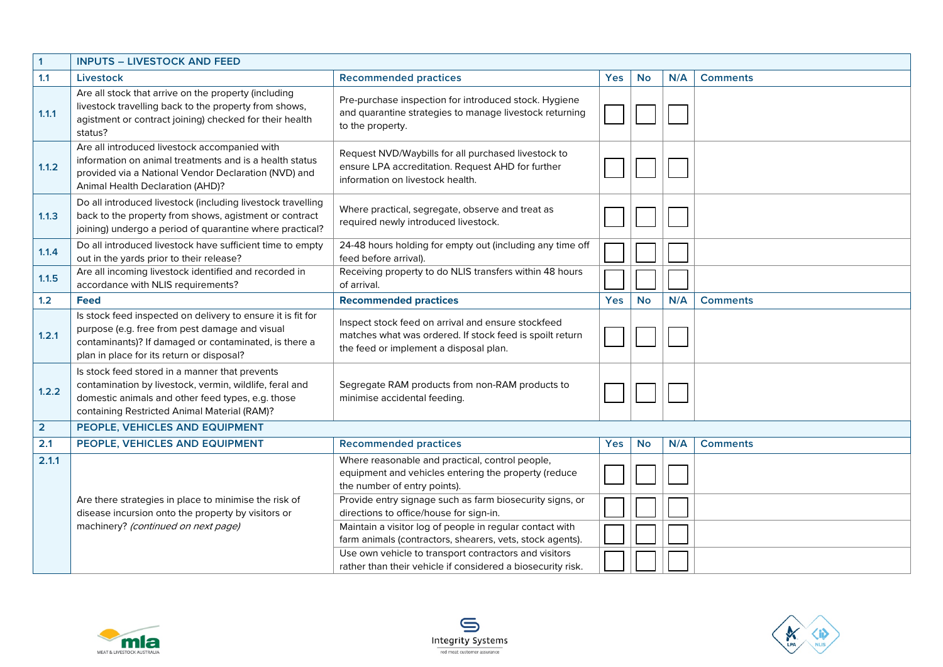| $\overline{1}$ | <b>INPUTS - LIVESTOCK AND FEED</b>                                                                                                                                                                                  |                                                                                                                                                          |            |           |     |                 |  |
|----------------|---------------------------------------------------------------------------------------------------------------------------------------------------------------------------------------------------------------------|----------------------------------------------------------------------------------------------------------------------------------------------------------|------------|-----------|-----|-----------------|--|
| 1.1            | Livestock                                                                                                                                                                                                           | <b>Recommended practices</b>                                                                                                                             | <b>Yes</b> | <b>No</b> | N/A | <b>Comments</b> |  |
| 1.1.1          | Are all stock that arrive on the property (including<br>livestock travelling back to the property from shows,<br>agistment or contract joining) checked for their health<br>status?                                 | Pre-purchase inspection for introduced stock. Hygiene<br>and quarantine strategies to manage livestock returning<br>to the property.                     |            |           |     |                 |  |
| 1.1.2          | Are all introduced livestock accompanied with<br>information on animal treatments and is a health status<br>provided via a National Vendor Declaration (NVD) and<br>Animal Health Declaration (AHD)?                | Request NVD/Waybills for all purchased livestock to<br>ensure LPA accreditation. Request AHD for further<br>information on livestock health.             |            |           |     |                 |  |
| 1.1.3          | Do all introduced livestock (including livestock travelling<br>back to the property from shows, agistment or contract<br>joining) undergo a period of quarantine where practical?                                   | Where practical, segregate, observe and treat as<br>required newly introduced livestock.                                                                 |            |           |     |                 |  |
| 1.1.4          | Do all introduced livestock have sufficient time to empty<br>out in the yards prior to their release?                                                                                                               | 24-48 hours holding for empty out (including any time off<br>feed before arrival).                                                                       |            |           |     |                 |  |
| 1.1.5          | Are all incoming livestock identified and recorded in<br>accordance with NLIS requirements?                                                                                                                         | Receiving property to do NLIS transfers within 48 hours<br>of arrival.                                                                                   |            |           |     |                 |  |
| 1.2            | Feed                                                                                                                                                                                                                | <b>Recommended practices</b>                                                                                                                             | Yes        | <b>No</b> | N/A | <b>Comments</b> |  |
| 1.2.1          | Is stock feed inspected on delivery to ensure it is fit for<br>purpose (e.g. free from pest damage and visual<br>contaminants)? If damaged or contaminated, is there a<br>plan in place for its return or disposal? | Inspect stock feed on arrival and ensure stockfeed<br>matches what was ordered. If stock feed is spoilt return<br>the feed or implement a disposal plan. |            |           |     |                 |  |
| 1.2.2          | Is stock feed stored in a manner that prevents<br>contamination by livestock, vermin, wildlife, feral and<br>domestic animals and other feed types, e.g. those<br>containing Restricted Animal Material (RAM)?      | Segregate RAM products from non-RAM products to<br>minimise accidental feeding.                                                                          |            |           |     |                 |  |
| $\overline{2}$ | PEOPLE, VEHICLES AND EQUIPMENT                                                                                                                                                                                      |                                                                                                                                                          |            |           |     |                 |  |
| 2.1            | PEOPLE, VEHICLES AND EQUIPMENT                                                                                                                                                                                      | <b>Recommended practices</b>                                                                                                                             | <b>Yes</b> | <b>No</b> | N/A | <b>Comments</b> |  |
| 2.1.1          |                                                                                                                                                                                                                     | Where reasonable and practical, control people,<br>equipment and vehicles entering the property (reduce<br>the number of entry points).                  |            |           |     |                 |  |
|                | Are there strategies in place to minimise the risk of<br>disease incursion onto the property by visitors or                                                                                                         | Provide entry signage such as farm biosecurity signs, or<br>directions to office/house for sign-in.                                                      |            |           |     |                 |  |
|                | machinery? (continued on next page)                                                                                                                                                                                 | Maintain a visitor log of people in regular contact with<br>farm animals (contractors, shearers, vets, stock agents).                                    |            |           |     |                 |  |
|                |                                                                                                                                                                                                                     | Use own vehicle to transport contractors and visitors<br>rather than their vehicle if considered a biosecurity risk.                                     |            |           |     |                 |  |





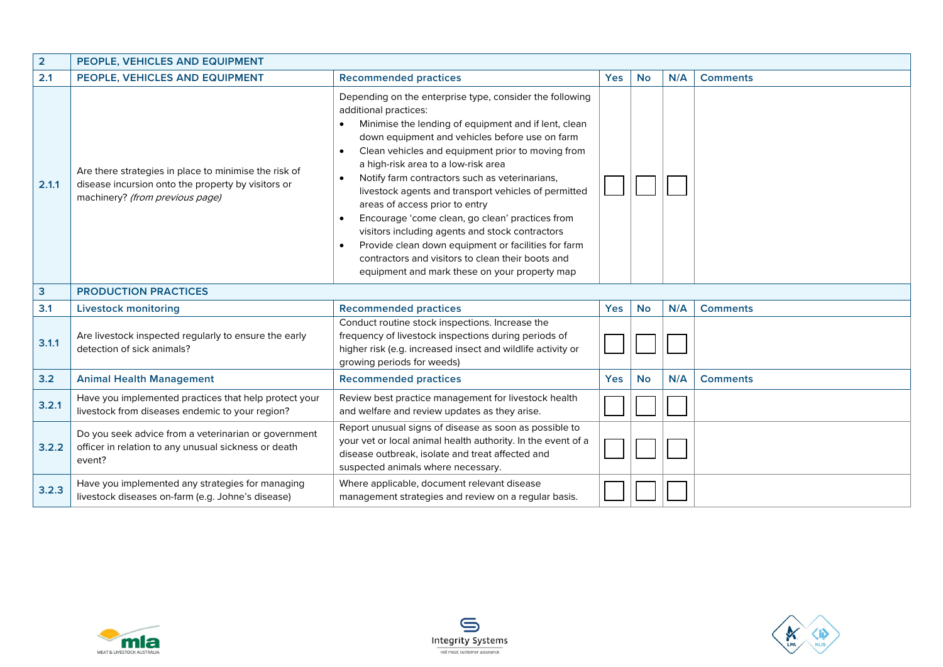| $\overline{2}$ | <b>PEOPLE, VEHICLES AND EQUIPMENT</b>                                                                                                          |                                                                                                                                                                                                                                                                                                                                                                                                                                                                                                                                                                                                                                                                                                                                               |            |           |     |                 |  |  |
|----------------|------------------------------------------------------------------------------------------------------------------------------------------------|-----------------------------------------------------------------------------------------------------------------------------------------------------------------------------------------------------------------------------------------------------------------------------------------------------------------------------------------------------------------------------------------------------------------------------------------------------------------------------------------------------------------------------------------------------------------------------------------------------------------------------------------------------------------------------------------------------------------------------------------------|------------|-----------|-----|-----------------|--|--|
| 2.1            | PEOPLE, VEHICLES AND EQUIPMENT                                                                                                                 | <b>Recommended practices</b>                                                                                                                                                                                                                                                                                                                                                                                                                                                                                                                                                                                                                                                                                                                  | <b>Yes</b> | <b>No</b> | N/A | <b>Comments</b> |  |  |
| 2.1.1          | Are there strategies in place to minimise the risk of<br>disease incursion onto the property by visitors or<br>machinery? (from previous page) | Depending on the enterprise type, consider the following<br>additional practices:<br>Minimise the lending of equipment and if lent, clean<br>down equipment and vehicles before use on farm<br>Clean vehicles and equipment prior to moving from<br>$\bullet$<br>a high-risk area to a low-risk area<br>Notify farm contractors such as veterinarians,<br>$\bullet$<br>livestock agents and transport vehicles of permitted<br>areas of access prior to entry<br>Encourage 'come clean, go clean' practices from<br>$\bullet$<br>visitors including agents and stock contractors<br>Provide clean down equipment or facilities for farm<br>contractors and visitors to clean their boots and<br>equipment and mark these on your property map |            |           |     |                 |  |  |
| 3              | <b>PRODUCTION PRACTICES</b>                                                                                                                    |                                                                                                                                                                                                                                                                                                                                                                                                                                                                                                                                                                                                                                                                                                                                               |            |           |     |                 |  |  |
| 3.1            | <b>Livestock monitoring</b>                                                                                                                    | <b>Recommended practices</b>                                                                                                                                                                                                                                                                                                                                                                                                                                                                                                                                                                                                                                                                                                                  | <b>Yes</b> | <b>No</b> | N/A | <b>Comments</b> |  |  |
| 3.1.1          | Are livestock inspected regularly to ensure the early<br>detection of sick animals?                                                            | Conduct routine stock inspections. Increase the<br>frequency of livestock inspections during periods of<br>higher risk (e.g. increased insect and wildlife activity or<br>growing periods for weeds)                                                                                                                                                                                                                                                                                                                                                                                                                                                                                                                                          |            |           |     |                 |  |  |
| 3.2            | <b>Animal Health Management</b>                                                                                                                | <b>Recommended practices</b>                                                                                                                                                                                                                                                                                                                                                                                                                                                                                                                                                                                                                                                                                                                  | <b>Yes</b> | <b>No</b> | N/A | <b>Comments</b> |  |  |
| 3.2.1          | Have you implemented practices that help protect your<br>livestock from diseases endemic to your region?                                       | Review best practice management for livestock health<br>and welfare and review updates as they arise.                                                                                                                                                                                                                                                                                                                                                                                                                                                                                                                                                                                                                                         |            |           |     |                 |  |  |
| 3.2.2          | Do you seek advice from a veterinarian or government<br>officer in relation to any unusual sickness or death<br>event?                         | Report unusual signs of disease as soon as possible to<br>your vet or local animal health authority. In the event of a<br>disease outbreak, isolate and treat affected and<br>suspected animals where necessary.                                                                                                                                                                                                                                                                                                                                                                                                                                                                                                                              |            |           |     |                 |  |  |
| 3.2.3          | Have you implemented any strategies for managing<br>livestock diseases on-farm (e.g. Johne's disease)                                          | Where applicable, document relevant disease<br>management strategies and review on a regular basis.                                                                                                                                                                                                                                                                                                                                                                                                                                                                                                                                                                                                                                           |            |           |     |                 |  |  |





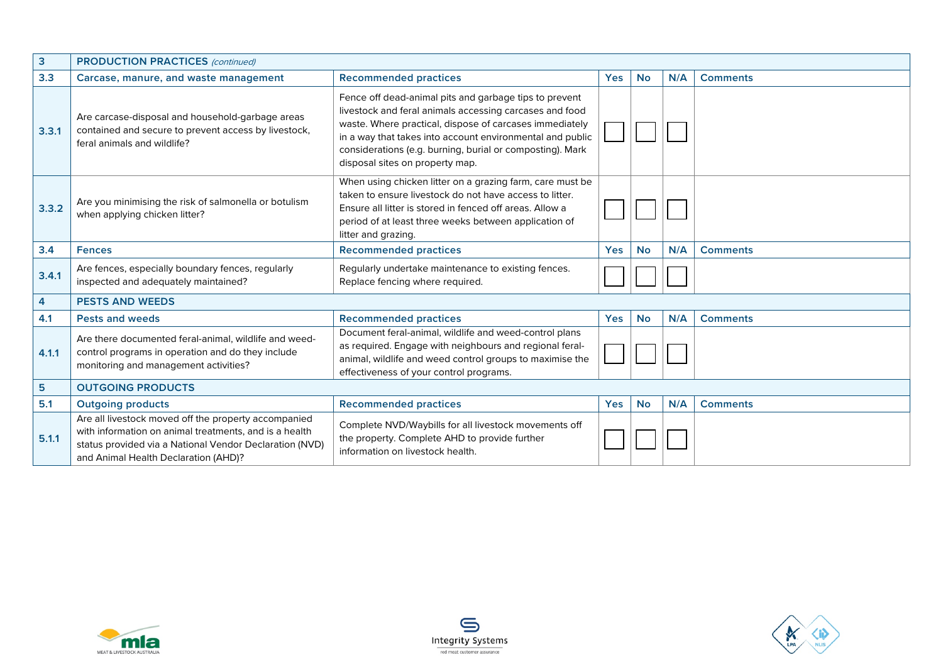| 3     | <b>PRODUCTION PRACTICES (continued)</b>                                                                                                                                                                           |                                                                                                                                                                                                                                                                                                                                           |            |           |     |                 |  |
|-------|-------------------------------------------------------------------------------------------------------------------------------------------------------------------------------------------------------------------|-------------------------------------------------------------------------------------------------------------------------------------------------------------------------------------------------------------------------------------------------------------------------------------------------------------------------------------------|------------|-----------|-----|-----------------|--|
| 3.3   | Carcase, manure, and waste management                                                                                                                                                                             | <b>Recommended practices</b>                                                                                                                                                                                                                                                                                                              | <b>Yes</b> | <b>No</b> | N/A | <b>Comments</b> |  |
| 3.3.1 | Are carcase-disposal and household-garbage areas<br>contained and secure to prevent access by livestock,<br>feral animals and wildlife?                                                                           | Fence off dead-animal pits and garbage tips to prevent<br>livestock and feral animals accessing carcases and food<br>waste. Where practical, dispose of carcases immediately<br>in a way that takes into account environmental and public<br>considerations (e.g. burning, burial or composting). Mark<br>disposal sites on property map. |            |           |     |                 |  |
| 3.3.2 | Are you minimising the risk of salmonella or botulism<br>when applying chicken litter?                                                                                                                            | When using chicken litter on a grazing farm, care must be<br>taken to ensure livestock do not have access to litter.<br>Ensure all litter is stored in fenced off areas. Allow a<br>period of at least three weeks between application of<br>litter and grazing.                                                                          |            |           |     |                 |  |
| 3.4   | <b>Fences</b>                                                                                                                                                                                                     | <b>Recommended practices</b>                                                                                                                                                                                                                                                                                                              | <b>Yes</b> | <b>No</b> | N/A | <b>Comments</b> |  |
| 3.4.1 | Are fences, especially boundary fences, regularly<br>inspected and adequately maintained?                                                                                                                         | Regularly undertake maintenance to existing fences.<br>Replace fencing where required.                                                                                                                                                                                                                                                    |            |           |     |                 |  |
| 4     | <b>PESTS AND WEEDS</b>                                                                                                                                                                                            |                                                                                                                                                                                                                                                                                                                                           |            |           |     |                 |  |
| 4.1   | <b>Pests and weeds</b>                                                                                                                                                                                            | <b>Recommended practices</b>                                                                                                                                                                                                                                                                                                              | <b>Yes</b> | <b>No</b> | N/A | <b>Comments</b> |  |
| 4.1.1 | Are there documented feral-animal, wildlife and weed-<br>control programs in operation and do they include<br>monitoring and management activities?                                                               | Document feral-animal, wildlife and weed-control plans<br>as required. Engage with neighbours and regional feral-<br>animal, wildlife and weed control groups to maximise the<br>effectiveness of your control programs.                                                                                                                  |            |           |     |                 |  |
| 5     | <b>OUTGOING PRODUCTS</b>                                                                                                                                                                                          |                                                                                                                                                                                                                                                                                                                                           |            |           |     |                 |  |
| 5.1   | <b>Outgoing products</b>                                                                                                                                                                                          | <b>Recommended practices</b>                                                                                                                                                                                                                                                                                                              | <b>Yes</b> | <b>No</b> | N/A | <b>Comments</b> |  |
| 5.1.1 | Are all livestock moved off the property accompanied<br>with information on animal treatments, and is a health<br>status provided via a National Vendor Declaration (NVD)<br>and Animal Health Declaration (AHD)? | Complete NVD/Waybills for all livestock movements off<br>the property. Complete AHD to provide further<br>information on livestock health.                                                                                                                                                                                                |            |           |     |                 |  |





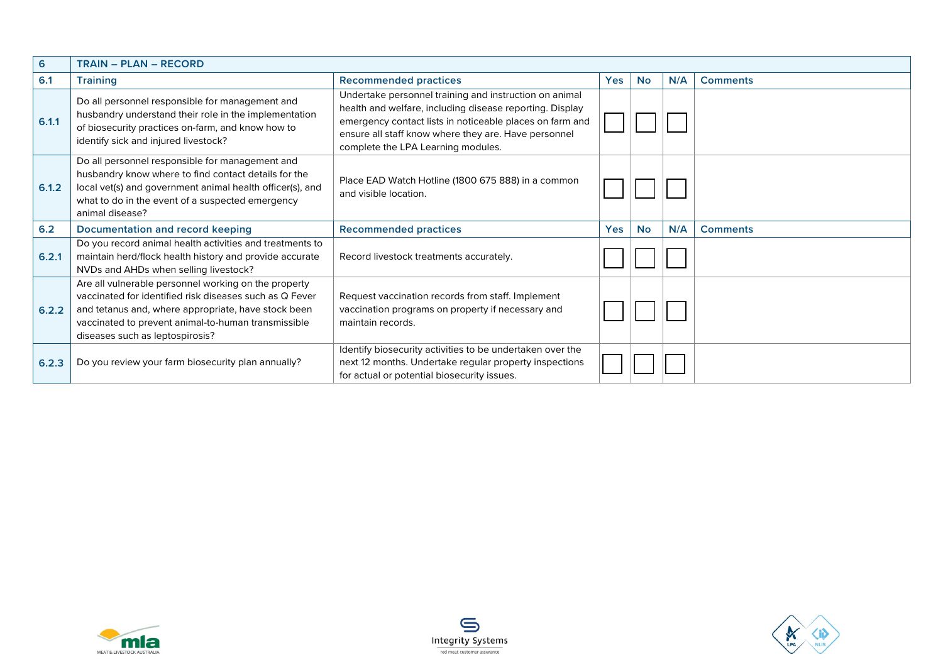| 6     | <b>TRAIN - PLAN - RECORD</b>                                                                                                                                                                                                                                     |                                                                                                                                                                                                                                                                              |            |           |     |                 |  |
|-------|------------------------------------------------------------------------------------------------------------------------------------------------------------------------------------------------------------------------------------------------------------------|------------------------------------------------------------------------------------------------------------------------------------------------------------------------------------------------------------------------------------------------------------------------------|------------|-----------|-----|-----------------|--|
| 6.1   | <b>Training</b>                                                                                                                                                                                                                                                  | <b>Recommended practices</b>                                                                                                                                                                                                                                                 | <b>Yes</b> | <b>No</b> | N/A | <b>Comments</b> |  |
| 6.1.1 | Do all personnel responsible for management and<br>husbandry understand their role in the implementation<br>of biosecurity practices on-farm, and know how to<br>identify sick and injured livestock?                                                            | Undertake personnel training and instruction on animal<br>health and welfare, including disease reporting. Display<br>emergency contact lists in noticeable places on farm and<br>ensure all staff know where they are. Have personnel<br>complete the LPA Learning modules. |            |           |     |                 |  |
| 6.1.2 | Do all personnel responsible for management and<br>husbandry know where to find contact details for the<br>local vet(s) and government animal health officer(s), and<br>what to do in the event of a suspected emergency<br>animal disease?                      | Place EAD Watch Hotline (1800 675 888) in a common<br>and visible location.                                                                                                                                                                                                  |            |           |     |                 |  |
| 6.2   | Documentation and record keeping                                                                                                                                                                                                                                 | <b>Recommended practices</b>                                                                                                                                                                                                                                                 | <b>Yes</b> | <b>No</b> | N/A | <b>Comments</b> |  |
| 6.2.1 | Do you record animal health activities and treatments to<br>maintain herd/flock health history and provide accurate<br>NVDs and AHDs when selling livestock?                                                                                                     | Record livestock treatments accurately.                                                                                                                                                                                                                                      |            |           |     |                 |  |
| 6.2.2 | Are all vulnerable personnel working on the property<br>vaccinated for identified risk diseases such as Q Fever<br>and tetanus and, where appropriate, have stock been<br>vaccinated to prevent animal-to-human transmissible<br>diseases such as leptospirosis? | Request vaccination records from staff. Implement<br>vaccination programs on property if necessary and<br>maintain records.                                                                                                                                                  |            |           |     |                 |  |
| 6.2.3 | Do you review your farm biosecurity plan annually?                                                                                                                                                                                                               | Identify biosecurity activities to be undertaken over the<br>next 12 months. Undertake regular property inspections<br>for actual or potential biosecurity issues.                                                                                                           |            |           |     |                 |  |





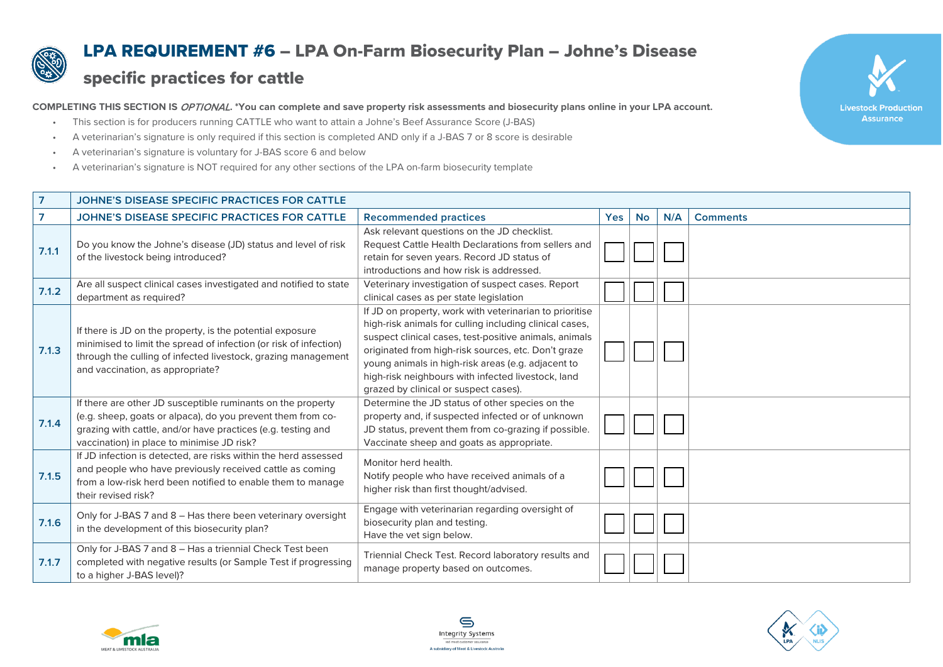

## LPA REQUIREMENT #6 – LPA On-Farm Biosecurity Plan – Johne's Disease

## specific practices for cattle

**COMPLETING THIS SECTION IS** OPTIONAL**. \*You can complete and save property risk assessments and biosecurity plans online in your LPA account.**

- This section is for producers running CATTLE who want to attain a Johne's Beef Assurance Score (J-BAS)
- A veterinarian's signature is only required if this section is completed AND only if a J-BAS 7 or 8 score is desirable
- A veterinarian's signature is voluntary for J-BAS score 6 and below
- A veterinarian's signature is NOT required for any other sections of the LPA on-farm biosecurity template

| $\overline{7}$ | <b>JOHNE'S DISEASE SPECIFIC PRACTICES FOR CATTLE</b>                                                                                                                                                                                     |                                                                                                                                                                                                                                                                                                                                                                                          |            |           |     |                 |  |
|----------------|------------------------------------------------------------------------------------------------------------------------------------------------------------------------------------------------------------------------------------------|------------------------------------------------------------------------------------------------------------------------------------------------------------------------------------------------------------------------------------------------------------------------------------------------------------------------------------------------------------------------------------------|------------|-----------|-----|-----------------|--|
| 7              | <b>JOHNE'S DISEASE SPECIFIC PRACTICES FOR CATTLE</b>                                                                                                                                                                                     | <b>Recommended practices</b>                                                                                                                                                                                                                                                                                                                                                             | <b>Yes</b> | <b>No</b> | N/A | <b>Comments</b> |  |
| 7.1.1          | Do you know the Johne's disease (JD) status and level of risk<br>of the livestock being introduced?                                                                                                                                      | Ask relevant questions on the JD checklist.<br>Request Cattle Health Declarations from sellers and<br>retain for seven years. Record JD status of<br>introductions and how risk is addressed.                                                                                                                                                                                            |            |           |     |                 |  |
| 7.1.2          | Are all suspect clinical cases investigated and notified to state<br>department as required?                                                                                                                                             | Veterinary investigation of suspect cases. Report<br>clinical cases as per state legislation                                                                                                                                                                                                                                                                                             |            |           |     |                 |  |
| 7.1.3          | If there is JD on the property, is the potential exposure<br>minimised to limit the spread of infection (or risk of infection)<br>through the culling of infected livestock, grazing management<br>and vaccination, as appropriate?      | If JD on property, work with veterinarian to prioritise<br>high-risk animals for culling including clinical cases,<br>suspect clinical cases, test-positive animals, animals<br>originated from high-risk sources, etc. Don't graze<br>young animals in high-risk areas (e.g. adjacent to<br>high-risk neighbours with infected livestock, land<br>grazed by clinical or suspect cases). |            |           |     |                 |  |
| 7.1.4          | If there are other JD susceptible ruminants on the property<br>(e.g. sheep, goats or alpaca), do you prevent them from co-<br>grazing with cattle, and/or have practices (e.g. testing and<br>vaccination) in place to minimise JD risk? | Determine the JD status of other species on the<br>property and, if suspected infected or of unknown<br>JD status, prevent them from co-grazing if possible.<br>Vaccinate sheep and goats as appropriate.                                                                                                                                                                                |            |           |     |                 |  |
| 7.1.5          | If JD infection is detected, are risks within the herd assessed<br>and people who have previously received cattle as coming<br>from a low-risk herd been notified to enable them to manage<br>their revised risk?                        | Monitor herd health.<br>Notify people who have received animals of a<br>higher risk than first thought/advised.                                                                                                                                                                                                                                                                          |            |           |     |                 |  |
| 7.16           | Only for J-BAS 7 and 8 - Has there been veterinary oversight<br>in the development of this biosecurity plan?                                                                                                                             | Engage with veterinarian regarding oversight of<br>biosecurity plan and testing.<br>Have the vet sign below.                                                                                                                                                                                                                                                                             |            |           |     |                 |  |
| 7.1.7          | Only for J-BAS 7 and 8 - Has a triennial Check Test been<br>completed with negative results (or Sample Test if progressing<br>to a higher J-BAS level)?                                                                                  | Triennial Check Test. Record laboratory results and<br>manage property based on outcomes.                                                                                                                                                                                                                                                                                                |            |           |     |                 |  |